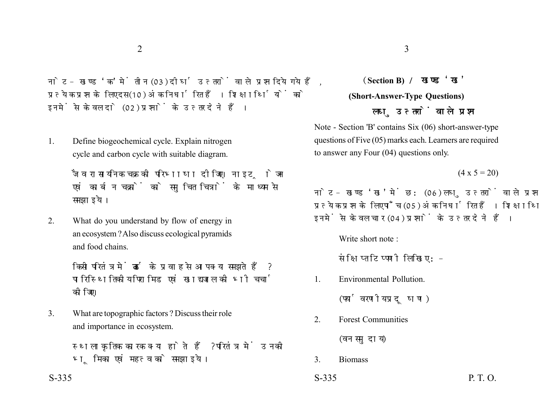नोट- खण्ड 'क' में तीन (03) दीर्घ उत्तरों वाले प्रश्न दिये गये हैं. प्रत्येक प्रश्न के लिए दस (10) अंक निर्धारित हैं। शिक्षार्थियों को इनमें से केवल दो (02) प्रश्नों के उत्तर देने हैं।

1. Define biogeochemical cycle. Explain nitrogen cycle and carbon cycle with suitable diagram.

> जैव रासायनिक चक्र की परिभाषा दीजिए। नाइट्रोजन एवं कार्बन चक्रों को समुचित चित्रों के माध्यम से समझाइये।

2. What do you understand by flow of energy in an ecosystem ? Also discuss ecological pyramids and food chains.

> किसी परितंत्र में ऊर्जा के प्रवाह से आप क्या समझते हैं ? पारिस्थितिकीय पिरामिड एवं खाद्य जाल की भी चर्चा कोजिए।

3. What are topographic factors ? Discuss their role and importance in ecosystem.

> स्थलाकृतिक कारक क्या होते हैं? परितंत्र में उनकी भमिका एवं महत्व को समझाइये।

## **Section B) (Short-Answer-Type Questions)** लघ उत्तरों वाले प्रश्न

Note - Section 'B' contains Six (06) short-answer-type questions of Five (05) marks each. Learners are required to answer any Four (04) questions only.

 $(4 \times 5 = 20)$ 

नोट- खण्ड 'ख' में छ: (06) लघु उत्तरों वाले प्रश्न दिये गये हैं, प्रत्येक प्रश्न के लिए पाँच (05) अंक निर्धारित हैं। शिक्षार्थियों को इनमें से केवल चार (04) प्रश्नों के उत्तर देने हैं।

Write short note :

संक्षिप्त टिप्पणी लिखिए:-

1. Environmental Pollution.

(पर्यावरणीय प्रदूषण)

2. Forest Communities

(वन समुदाय)

3. Biomass

 $S-335$  P. T. O.